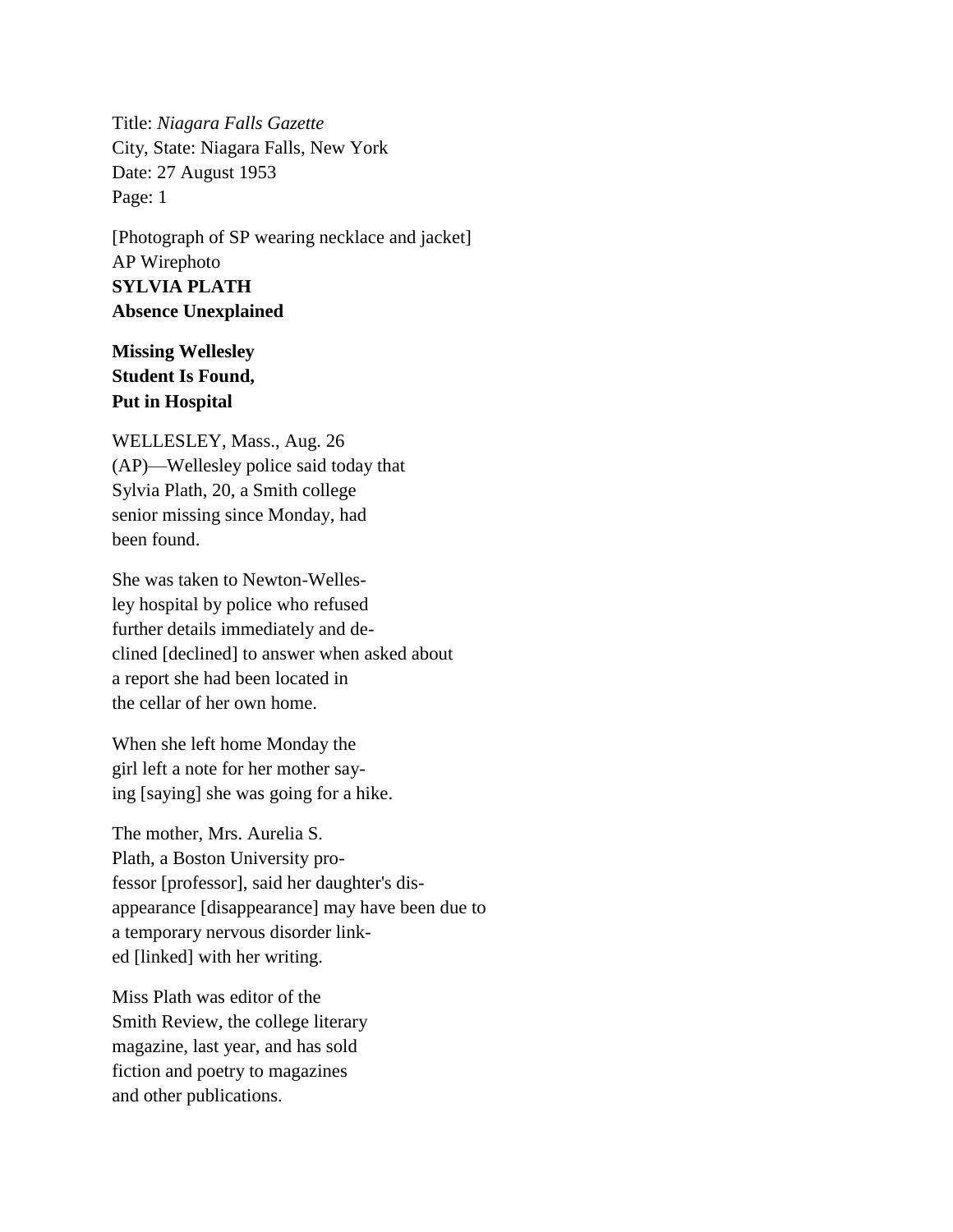Title: *Niagara Falls Gazette* City, State: Niagara Falls, New York Date: 27 August 1953 Page: 1

[Photograph of SP wearing necklace and jacket] AP Wirephoto **SYLVIA PLATH Absence Unexplained**

## **Missing Wellesley Student Is Found, Put in Hospital**

WELLESLEY, Mass., Aug. 26 (AP)—Wellesley police said today that Sylvia Plath, 20, a Smith college senior missing since Monday, had been found.

She was taken to Newton-Wellesley hospital by police who refused further details immediately and declined [declined] to answer when asked about a report she had been located in the cellar of her own home.

When she left home Monday the girl left a note for her mother saying [saying] she was going for a hike.

The mother, Mrs. Aurelia S. Plath, a Boston University professor [professor], said her daughter's disappearance [disappearance] may have been due to a temporary nervous disorder linked [linked] with her writing.

Miss Plath was editor of the Smith Review, the college literary magazine, last year, and has sold fiction and poetry to magazines and other publications.